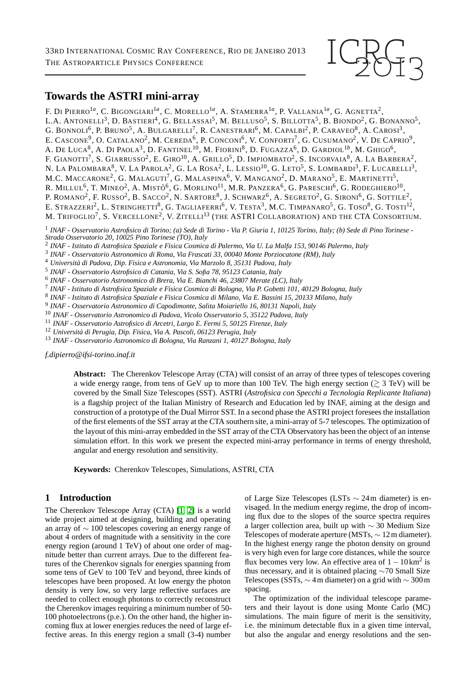

# **Towards the ASTRI mini-array**

F. Di Pierro<sup>1a</sup>, C. Bigongiari<sup>1a</sup>, C. Morello<sup>1a</sup>, A. Stamerra<sup>1a</sup>, P. Vallania<sup>1a</sup>, G. Agnetta<sup>2</sup>, L.A. Antonelli<sup>3</sup>, D. Bastieri<sup>4</sup>, G. Bellassai<sup>5</sup>, M. Belluso<sup>5</sup>, S. Billotta<sup>5</sup>, B. Biondo<sup>2</sup>, G. Bonanno<sup>5</sup>, G. BONNOLI<sup>6</sup>, P. Bruno<sup>5</sup>, A. Bulgarelli<sup>7</sup>, R. Canestrari<sup>6</sup>, M. Capalbi<sup>2</sup>, P. Caraveo<sup>8</sup>, A. Carosi<sup>3</sup>, E. CASCONE<sup>9</sup>, O. CATALANO<sup>2</sup>, M. CEREDA<sup>6</sup>, P. CONCONI<sup>6</sup>, V. CONFORTI<sup>7</sup>, G. CUSUMANO<sup>2</sup>, V. DE CAPRIO<sup>9</sup>, A. De Luca<sup>8</sup>, A. Di Paola<sup>3</sup>, D. Fantinel<sup>10</sup>, M. Fiorini<sup>8</sup>, D. Fugazza<sup>6</sup>, D. Gardiol<sup>1b</sup>, M. Ghigo<sup>6</sup>, F. GIANOTTI<sup>7</sup>, S. GIARRUSSO<sup>2</sup>, E. GIRO<sup>10</sup>, A. GRILLO<sup>5</sup>, D. IMPIOMBATO<sup>2</sup>, S. Incorvaia<sup>8</sup>, A. La Barbera<sup>2</sup>, N. LA PALOMBARA $^8$ , V. La Parola $^2$ , G. La Rosa $^2$ , L. Lessio $^{10}$ , G. Leto $^5$ , S. Lombardi $^3$ , F. Lucarelli $^3$ , M.C. MACCARONE<sup>2</sup>, G. Malaguti<sup>7</sup>, G. Malaspina<sup>6</sup>, V. Mangano<sup>2</sup>, D. Marano<sup>5</sup>, E. Martinetti<sup>5</sup>, R. Millul<sup>6</sup>, T. Mineo<sup>2</sup>, A. Mistò<sup>6</sup>, G. Morlino<sup>11</sup>, M.R. Panzera<sup>6</sup>, G. Pareschi<sup>6</sup>, G. Rodeghiero<sup>10</sup>, P. ROMANO<sup>2</sup>, F. Russo<sup>2</sup>, B. Sacco<sup>2</sup>, N. Sartore<sup>8</sup>, J. Schwarz<sup>6</sup>, A. Segreto<sup>2</sup>, G. Sironi<sup>6</sup>, G. Sottile<sup>2</sup>, E. STRAZZERI<sup>2</sup>, L. STRINGHETTI<sup>8</sup>, G. TAGLIAFERRI<sup>6</sup>, V. TESTA<sup>3</sup>, M.C. TIMPANARO<sup>5</sup>, G. TOSO<sup>8</sup>, G. TOSTI<sup>12</sup>, M. Trifoglio<sup>7</sup>, S. Vercellone<sup>2</sup>, V. Zitelli<sup>13</sup> (the ASTRI Collaboration) and the CTA Consortium.

1 *INAF - Osservatorio Astrofisico di Torino; (a) Sede di Torino - Via P. Giuria 1, 10125 Torino, Italy; (b) Sede di Pino Torinese - Strada Osservatorio 20, 10025 Pino Torinese (TO), Italy*

2 *INAF - Istituto di Astrofisica Spaziale e Fisica Cosmica di Palermo, Via U. La Malfa 153, 90146 Palermo, Italy*

3 *INAF - Osservatorio Astronomico di Roma, Via Frascati 33, 00040 Monte Porziocatone (RM), Italy*

<sup>4</sup> *Universit`a di Padova, Dip. Fisica e Astronomia, Via Marzolo 8, 35131 Padova, Italy*

5 *INAF - Osservatorio Astrofisico di Catania, Via S. Sofia 78, 95123 Catania, Italy*

6 *INAF - Osservatorio Astronomico di Brera, Via E. Bianchi 46, 23807 Merate (LC), Italy*

7 *INAF - Istituto di Astrofisica Spaziale e Fisica Cosmica di Bologna, Via P. Gobetti 101, 40129 Bologna, Italy*

8 *INAF - Istituto di Astrofisica Spaziale e Fisica Cosmica di Milano, Via E. Bassini 15, 20133 Milano, Italy*

9 *INAF - Osservatorio Astronomico di Capodimonte, Salita Moiariello 16, 80131 Napoli, Italy*

<sup>10</sup> *INAF - Osservatorio Astronomico di Padova, Vicolo Osservatorio 5, 35122 Padova, Italy*

<sup>11</sup> *INAF - Osservatorio Astrofisico di Arcetri, Largo E. Fermi 5, 50125 Firenze, Italy*

<sup>12</sup> Università di Perugia, Dip. Fisica, Via A. Pascoli, 06123 Perugia, Italy

<sup>13</sup> *INAF - Osservatorio Astronomico di Bologna, Via Ranzani 1, 40127 Bologna, Italy*

*f.dipierro@ifsi-torino.inaf.it*

**Abstract:** The Cherenkov Telescope Array (CTA) will consist of an array of three types of telescopes covering a wide energy range, from tens of GeV up to more than 100 TeV. The high energy section ( $\geq$  3 TeV) will be covered by the Small Size Telescopes (SST). ASTRI (*Astrofisica con Specchi a Tecnologia Replicante Italiana*) is a flagship project of the Italian Ministry of Research and Education led by INAF, aiming at the design and construction of a prototype of the Dual Mirror SST. In a second phase the ASTRI project foresees the installation of the first elements of the SST array at the CTA southern site, a mini-array of 5-7 telescopes. The optimization of the layout of this mini-array embedded in the SST array of the CTA Observatory has been the object of an intense simulation effort. In this work we present the expected mini-array performance in terms of energy threshold, angular and energy resolution and sensitivity.

**Keywords:** Cherenkov Telescopes, Simulations, ASTRI, CTA

# **1 Introduction**

The Cherenkov Telescope Array (CTA) [\[1,](#page-3-0) [2\]](#page-3-1) is a world wide project aimed at designing, building and operating an array of ∼ 100 telescopes covering an energy range of about 4 orders of magnitude with a sensitivity in the core energy region (around 1 TeV) of about one order of magnitude better than current arrays. Due to the different features of the Cherenkov signals for energies spanning from some tens of GeV to 100 TeV and beyond, three kinds of telescopes have been proposed. At low energy the photon density is very low, so very large reflective surfaces are needed to collect enough photons to correctly reconstruct the Cherenkov images requiring a minimum number of 50- 100 photoelectrons (p.e.). On the other hand, the higher incoming flux at lower energies reduces the need of large effective areas. In this energy region a small (3-4) number of Large Size Telescopes (LSTs ∼ 24m diameter) is envisaged. In the medium energy regime, the drop of incoming flux due to the slopes of the source spectra requires a larger collection area, built up with ∼ 30 Medium Size Telescopes of moderate aperture (MSTs, ∼ 12m diameter). In the highest energy range the photon density on ground is very high even for large core distances, while the source flux becomes very low. An effective area of  $1 - 10 \text{ km}^2$  is thus necessary, and it is obtained placing ∼70 Small Size Telescopes (SSTs,  $\sim$  4m diameter) on a grid with  $\sim$  300m spacing.

The optimization of the individual telescope parameters and their layout is done using Monte Carlo (MC) simulations. The main figure of merit is the sensitivity, i.e. the minimum detectable flux in a given time interval, but also the angular and energy resolutions and the sen-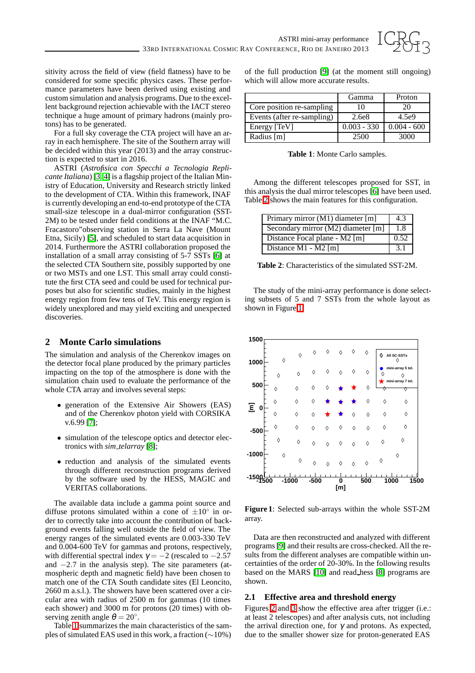

sitivity across the field of view (field flatness) have to be considered for some specific physics cases. These performance parameters have been derived using existing and custom simulation and analysis programs. Due to the excellent background rejection achievable with the IACT stereo technique a huge amount of primary hadrons (mainly protons) has to be generated.

For a full sky coverage the CTA project will have an array in each hemisphere. The site of the Southern array will be decided within this year (2013) and the array construction is expected to start in 2016.

ASTRI (*Astrofisica con Specchi a Tecnologia Replicante Italiana*) [\[3,](#page-3-2) [4\]](#page-3-3) is a flagship project of the Italian Ministry of Education, University and Research strictly linked to the development of CTA. Within this framework, INAF is currently developing an end-to-end prototype of the CTA small-size telescope in a dual-mirror configuration (SST-2M) to be tested under field conditions at the INAF "M.C. Fracastoro"observing station in Serra La Nave (Mount Etna, Sicily) [\[5\]](#page-3-4), and scheduled to start data acquisition in 2014. Furthermore the ASTRI collaboration proposed the installation of a small array consisting of 5-7 SSTs [\[6\]](#page-3-5) at the selected CTA Southern site, possibly supported by one or two MSTs and one LST. This small array could constitute the first CTA seed and could be used for technical purposes but also for scientific studies, mainly in the highest energy region from few tens of TeV. This energy region is widely unexplored and may yield exciting and unexpected discoveries.

# **2 Monte Carlo simulations**

The simulation and analysis of the Cherenkov images on the detector focal plane produced by the primary particles impacting on the top of the atmosphere is done with the simulation chain used to evaluate the performance of the whole CTA array and involves several steps:

- generation of the Extensive Air Showers (EAS) and of the Cherenkov photon yield with CORSIKA v.6.99 [\[7\]](#page-3-6);
- simulation of the telescope optics and detector electronics with *sim telarray* [\[8\]](#page-3-7);
- reduction and analysis of the simulated events through different reconstruction programs derived by the software used by the HESS, MAGIC and VERITAS collaborations.

The available data include a gamma point source and diffuse protons simulated within a cone of  $\pm 10^\circ$  in order to correctly take into account the contribution of background events falling well outside the field of view. The energy ranges of the simulated events are 0.003-330 TeV and 0.004-600 TeV for gammas and protons, respectively, with differential spectral index  $\gamma = -2$  (rescaled to  $-2.57$ ) and  $-2.7$  in the analysis step). The site parameters (atmospheric depth and magnetic field) have been chosen to match one of the CTA South candidate sites (El Leoncito, 2660 m a.s.l.). The showers have been scattered over a circular area with radius of 2500 m for gammas (10 times each shower) and 3000 m for protons (20 times) with observing zenith angle  $\theta = 20^\circ$ .

Table [1](#page-1-0) summarizes the main characteristics of the samples of simulated EAS used in this work, a fraction (∼10%) of the full production [\[9\]](#page-3-8) (at the moment still ongoing) which will allow more accurate results.

|                            | Gamma         | Proton        |
|----------------------------|---------------|---------------|
| Core position re-sampling  | 10            | 20            |
| Events (after re-sampling) | 2.6e8         | 4.5e9         |
| Energy [TeV]               | $0.003 - 330$ | $0.004 - 600$ |
| Radius [m]                 | 2500          | 3000          |

**Table 1**: Monte Carlo samples.

<span id="page-1-0"></span>Among the different telescopes proposed for SST, in this analysis the dual mirror telescopes [\[6\]](#page-3-5) have been used. Table [2](#page-1-1) shows the main features for this configuration.

| Primary mirror (M1) diameter [m]   | 4.3  |
|------------------------------------|------|
| Secondary mirror (M2) diameter [m] | 1.8  |
| Distance Focal plane - M2 [m]      | 0.52 |
| Distance $M1 - M2$ [m]             |      |

**Table 2**: Characteristics of the simulated SST-2M.

<span id="page-1-1"></span>The study of the mini-array performance is done selecting subsets of 5 and 7 SSTs from the whole layout as shown in Figure [1.](#page-1-2)



<span id="page-1-2"></span>**Figure 1**: Selected sub-arrays within the whole SST-2M array.

Data are then reconstructed and analyzed with different programs [\[9\]](#page-3-8) and their results are cross-checked. All the results from the different analyses are compatible within uncertainties of the order of 20-30%. In the following results based on the MARS [\[10\]](#page-3-9) and read hess [\[8\]](#page-3-7) programs are shown.

### **2.1 Effective area and threshold energy**

Figures [2](#page-2-0) and [3](#page-2-1) show the effective area after trigger (i.e.: at least 2 telescopes) and after analysis cuts, not including the arrival direction one, for  $γ$  and protons. As expected, due to the smaller shower size for proton-generated EAS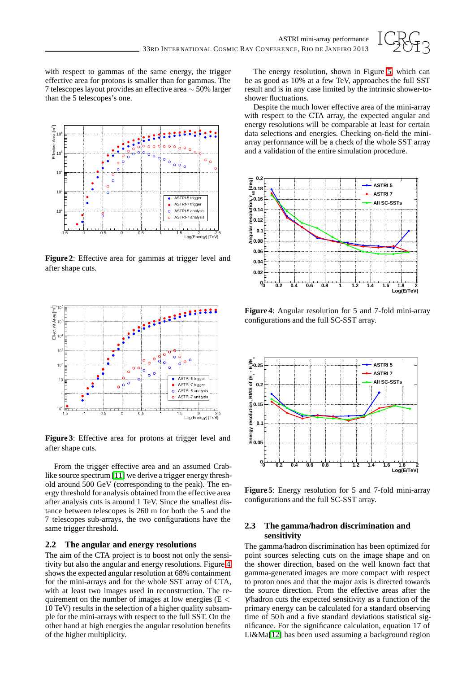

with respect to gammas of the same energy, the trigger effective area for protons is smaller than for gammas. The 7 telescopes layout provides an effective area ∼ 50% larger than the 5 telescopes's one.



<span id="page-2-0"></span>**Figure 2**: Effective area for gammas at trigger level and after shape cuts.



<span id="page-2-1"></span>**Figure 3**: Effective area for protons at trigger level and after shape cuts.

From the trigger effective area and an assumed Crablike source spectrum [\[11\]](#page-3-10) we derive a trigger energy threshold around 500 GeV (corresponding to the peak). The energy threshold for analysis obtained from the effective area after analysis cuts is around 1 TeV. Since the smallest distance between telescopes is 260 m for both the 5 and the 7 telescopes sub-arrays, the two configurations have the same trigger threshold.

#### **2.2 The angular and energy resolutions**

The aim of the CTA project is to boost not only the sensitivity but also the angular and energy resolutions. Figure [4](#page-2-2) shows the expected angular resolution at 68% containment for the mini-arrays and for the whole SST array of CTA, with at least two images used in reconstruction. The requirement on the number of images at low energies ( $E$  < 10 TeV) results in the selection of a higher quality subsample for the mini-arrays with respect to the full SST. On the other hand at high energies the angular resolution benefits of the higher multiplicity.

The energy resolution, shown in Figure [5,](#page-2-3) which can be as good as 10% at a few TeV, approaches the full SST result and is in any case limited by the intrinsic shower-toshower fluctuations.

Despite the much lower effective area of the mini-array with respect to the CTA array, the expected angular and energy resolutions will be comparable at least for certain data selections and energies. Checking on-field the miniarray performance will be a check of the whole SST array and a validation of the entire simulation procedure.



<span id="page-2-2"></span>**Figure 4**: Angular resolution for 5 and 7-fold mini-array configurations and the full SC-SST array.



<span id="page-2-3"></span>**Figure 5**: Energy resolution for 5 and 7-fold mini-array configurations and the full SC-SST array.

### **2.3 The gamma/hadron discrimination and sensitivity**

The gamma/hadron discrimination has been optimized for point sources selecting cuts on the image shape and on the shower direction, based on the well known fact that gamma-generated images are more compact with respect to proton ones and that the major axis is directed towards the source direction. From the effective areas after the γ/hadron cuts the expected sensitivity as a function of the primary energy can be calculated for a standard observing time of 50 h and a five standard deviations statistical significance. For the significance calculation, equation 17 of Li&Ma[\[12\]](#page-3-11) has been used assuming a background region